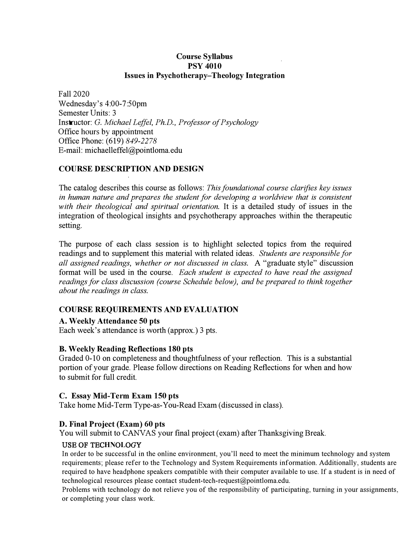# **Course Syllabus PSY 4010 Issues in Psychotherapy-Theology Integration**

Fall 2020 Wednesday's 4:00-7:50pm Semester Units: 3 Instructor: G. *Michael Leffel, Ph.D., Professor of Psychology*  Office hours by appointment Office Phone: (619) *849-2278*  E-mail: michaelleffel@pointloma.edu

# **COURSE DESCRIPTION AND DESIGN**

The catalog describes this course as follows: *This foundational course clarifies key issues in human nature and prepares the student for developing a worldview that is consistent with their theological and spiritual orientation.* It is a detailed study of issues in the integration of theological insights and psychotherapy approaches within the therapeutic setting.

The purpose of each class session is to highlight selected topics from the required readings and to supplement this material with related ideas. *Students are responsible for all assigned readings, whether or not discussed in class.* A "graduate style" discussion format will be used in the course. *Each student is expected to have read the assigned readings for class discussion (course Schedule below), and be prepared to think together about the readings in class.* 

# **COURSE REQUIREMENTS AND EVALUATION**

### **A. Weekly Attendance 50 pts**

Each week's attendance is worth (approx.) 3 pts.

### **B. Weekly Reading Reflections 180 pts**

Graded 0-10 on completeness and thoughtfulness of your reflection. This is a substantial portion of your grade. Please follow directions on Reading Reflections for when and how to submit for full credit.

### **C. Essay Mid-Term Exam 150 pts**

Take home Mid-Term Type-as-You-Read Exam (discussed in class).

### **D. Final Project (Exam) 60 pts**

You will submit to CANVAS your final project ( exam) after Thanksgiving Break.

### USE OF TEC**HN**O**L**OGY

In order to be successful in the online environment, you'll need to meet the minimum technology and system requirements; please refer to the Technology and System Requirements information. Additionally, students are required to have headphone speakers compatible with their computer available to use. If a student is in need of technological resources please contact student-tech-request@pointloma.edu.

Problems with technology do not relieve you of the responsibility of participating, turning in your assignments, or completing your class work.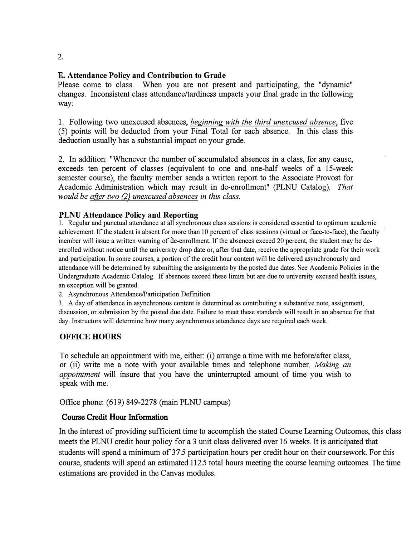$2<sub>1</sub>$ 

# **E. Attendance Policy and Contribution to Grade**

Please come to class. When you are not present and participating, the "dynamic" changes. Inconsistent class attendance/tardiness impacts your fmal grade in the following way:

1. Following two unexcused absences, *beginning with the third unexcused absence,* five (5) points will be deducted from your Final Total for each absence. In this class this deduction usually has a substantial impact on your grade.

2. In addition: "Whenever the number of accumulated absences in a class, for any cause, exceeds ten percent of classes (equivalent to one and one-half weeks of a 15-week semester course), the faculty member sends a written report to the Associate Provost for Academic Administration which may result in de-enrollment" (PLNU Catalog). *That would be after two (2) unexcused absences in this class.* 

# PLNU **Attendance Policy and Reporting**

1. Regular and punctual attendance at all synchronous class sessions is considered essential to optimum academic achievement. If the student is absent for more than 10 percent of class sessions (virtual or face-to-face), the faculty member will issue a written warning of de-enrollment. If the absences exceed 20 percent, the student may be deenrolled without notice until the university drop date or, after that date, receive the appropriate grade for their work and participation. In some courses, a portion of the credit hour content will be delivered asynchronously and attendance will be determined by submitting the assignments by the posted due dates. See Academic Policies in the Undergraduate Academic Catalog. If absences exceed these limits but are due to university excused health issues, an exception will be granted.

2. Asynchronous Attendance/Participation Definition

3. A day of attendance in asynchronous content is determined as contributing a substantive note, assignment, discussion, or submission by the posted due date. Failure to meet these standards will result in an absence for that day. Instructors will determine how many asynchronous attendance days are required each week.

# **OFFICE HOURS**

To schedule an appointment with me, either: (i) arrange a time with me before/after class, or ( ii) write me a note with your available times and telephone number. *Making an appointment* will insure that you have the uninterrupted amount of time you wish to speak with me.

Office phone: (619) 849-2278 (main PLNU campus)

# Course Credit **H**our Information

In the interest of providing sufficient time to accomplish the stated Course Learning Outcomes, this class meets the PLNU credit hour policy for a 3 unit class delivered over 16 weeks. It is anticipated that students will spend a minimum of 37.5 participation hours per credit hour on their coursework. For this course, students will spend an estimated 112.5 total hours meeting the course learning outcomes. The time estimations are provided in the Canvas modules.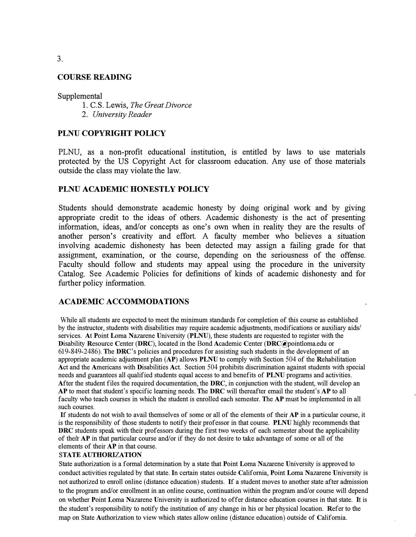#### COURSE READING

Supplemental

1. C.S. Lewis, *The Great Divorce* 2. *University Reader*

#### PLNU COPYRIGHT POLICY

PLNU, as a non-profit educational institution, is entitled by laws to use materials protected by the US Copyright Act for classroom education. Any use of those materials outside the class may violate the law.

#### PLNU ACADEMIC HONESTLY POLICY

Students should demonstrate academic honesty by doing original work and by giving appropriate credit to the ideas of others. Academic dishonesty is the act of presenting information, ideas, and/or concepts as one's own when in reality they are the results of another person's creativity and effort. A faculty member who believes a situation involving academic dishonesty has been detected may assign a failing grade for that assignment, examination, or the course, depending on the seriousness of the offense. Faculty should follow and students may appeal using the procedure in the university Catalog. See Academic Policies for definitions of kinds of academic dishonesty and for further policy information.

### ACADEMIC ACCOMMODATIONS

While all students are expected to meet the minimum standards for completion of this course as established by the instructor, students with disabilities may require academic adjustments, modifications or auxiliary aids/ services. At Point Loma Nazarene University (PLNU), these students are requested to register with the Disability Resource Center (DRC), located in the Bond Academic Center (DRC@pointloma.edu or 619-849-2486). The DRC's policies and procedures for assisting such students in the development of an appropriate academic adjustment plan  $(AP)$  allows PLNU to comply with Section 504 of the Rehabilitation Act and the Americans with Disabilities Act. Section 504 prohibits discrimination against students with special needs and guarantees all qualified students equal access to and benefits of PLNU programs and activities. After the student files the required documentation, the DRC, in conjunction with the student, will develop an AP to meet that student's specific learning needs. The DRC will thereafter email the student's AP to all faculty who teach courses in which the student is enrolled each semester. The AP must be implemented in all such courses.

If students do not wish to avail themselves of some or all of the elements of their AP in a particular course, it is the responsibility of those students to notify their professor in that course. PLNU highly recommends that DRC students speak with their professors during the first two weeks of each semester about the applicability of their AP in that particular course and/or if they do not desire to take advantage of some or all of the elements of their AP in that course.

#### STATE AUTHORIZATION

State authorization is a formal determination by a state that Point Loma Nazarene University is approved to conduct activities regulated by that state. In certain states outside California, Point Loma Nazarene University is not authorized to enroll online (distance education) students. If a student moves to another state after admission to the program and/or enrollment in an online course, continuation within the program and/or course will depend on whether Point Loma Nazarene University is authorized to offer distance education courses in that state. It is the student's responsibility to notify the institution of any change in his or her physical location. Refer to the map on State Authorization to view which states allow online (distance education) outside of California.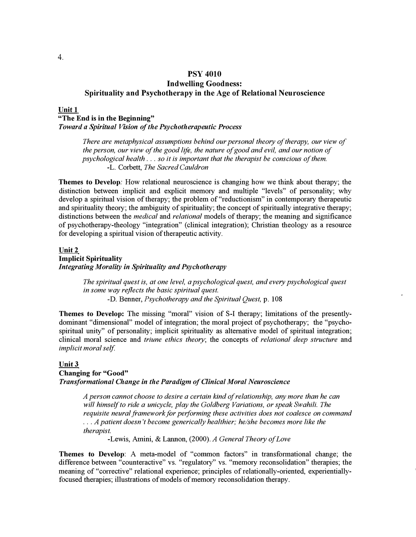# **PSY 4010 Indwelling Goodness: Spirituality and Psychotherapy in the Age of Relational Neuroscience**

#### **Unit 1**

#### **"The End is in the Beginning"**

*Toward a Spiritual Vision of the Psychotherapeutic Process* 

*There are metaphysical assumptions behind our personal theory of therapy, our view of the person, our view of the good life, the nature of good and evil, and our notion of psychological health .* .. *so it is important that the therapist be conscious of them.*  -L. Corbett, *The Sacred Cauldron*

**Themes to Develop:** How relational neuroscience is changing how we think about therapy; the distinction between implicit and explicit memory and multiple "levels" of personality; why develop a spiritual vision of therapy; the problem of "reductionism" in contemporary therapeutic and spirituality theory; the ambiguity of spirituality; the concept of spiritually integrative therapy; distinctions between the *medical* and *relational* models of therapy; the meaning and significance of psychotherapy-theology "integration" ( clinical integration); Christian theology as a resource for developing a spiritual vision of therapeutic activity.

#### **Unit2 Implicit Spirituality**  *Integrating Morality in Spirituality and Psychotherapy*

*The spiritual quest is, at one level, a psychological quest, and every psychological quest in some way reflects the basic spiritual quest.*  -D. Benner, *Psychotherapy and the Spiritual Quest,* p. 108

**Themes to Develop:** The missing "moral" vision of S-I therapy; limitations of the presentlydominant "dimensional" model of integration; the moral project of psychotherapy; the "psychospiritual unity" of personality; implicit spirituality as alternative model of spiritual integration; clinical moral science and *triune ethics theory;* the concepts of *relational deep structure* and *implicit moral self.* 

#### **Unit3 Changing for "Good"**  *Transformational Change in the Paradigm of Clinical Moral Neuroscience*

*A person cannot choose to desire a certain kind of relationship, any more than he can will himself to ride a unicycle, play the Goldberg Variations, or speak Swahili. The*  requisite neural framework for performing these activities does not coalesce on command ... *A patient doesn't become generically healthier; he/she becomes more like the therapist.* 

-Lewis, Amini, & Lannon, (2000). *A General Theory of Love*

**Themes to Develop: A** meta-model of "common factors" in transformational change; the difference between "counteractive" vs. "regulatory" vs. "memory reconsolidation" therapies; the meaning of "corrective" relational experience; principles of relationally-oriented, experientiallyfocused therapies; illustrations of models of memory reconsolidation therapy.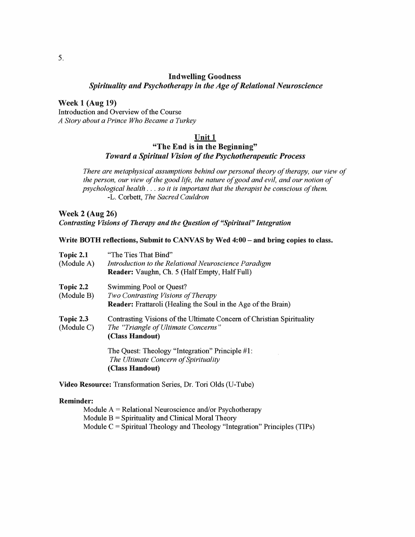#### **Indwelling Goodness**

Spirituality and Psychotherapy in the Age of Relational Neuroscience

**Week 1 (Aug 19)** Introduction and Overview of the Course

A Story about a Prince Who Became a Turkey

#### Unit 1

# "The End is in the Beginning" Toward a Spiritual Vision of the Psychotherapeutic Process

There are metaphysical assumptions behind our personal theory of therapy, our view of the person, our view of the good life, the nature of good and evil, and our notion of psychological health . . . so it is important that the therapist be conscious of them. -L. Corbett, The Sacred Cauldron

**Week 2 (Aug 26)** Contrasting Visions of Therapy and the Question of "Spiritual" Integration

#### Write BOTH reflections, Submit to CANVAS by Wed 4:00 - and bring copies to class.

| Topic 2.1               | "The Ties That Bind"                                                                                                            |
|-------------------------|---------------------------------------------------------------------------------------------------------------------------------|
| (Module A)              | Introduction to the Relational Neuroscience Paradigm                                                                            |
|                         | <b>Reader:</b> Vaughn, Ch. 5 (Half Empty, Half Full)                                                                            |
| Topic 2.2               | Swimming Pool or Quest?                                                                                                         |
| (Module B)              | Two Contrasting Visions of Therapy                                                                                              |
|                         | <b>Reader:</b> Frattaroli (Healing the Soul in the Age of the Brain)                                                            |
| Topic 2.3<br>(Module C) | Contrasting Visions of the Ultimate Concern of Christian Spirituality<br>The "Triangle of Ultimate Concerns"<br>(Class Handout) |
|                         | The Quest: Theology "Integration" Principle #1:<br>The Ultimate Concern of Spirituality                                         |
|                         | (Class Handout)                                                                                                                 |

Video Resource: Transformation Series, Dr. Tori Olds (U-Tube)

#### **Reminder:**

Module  $A = Relational Neuroscience and/or Psychotherapy$ Module  $B =$  Spirituality and Clinical Moral Theory Module  $C =$  Spiritual Theology and Theology "Integration" Principles (TIPs)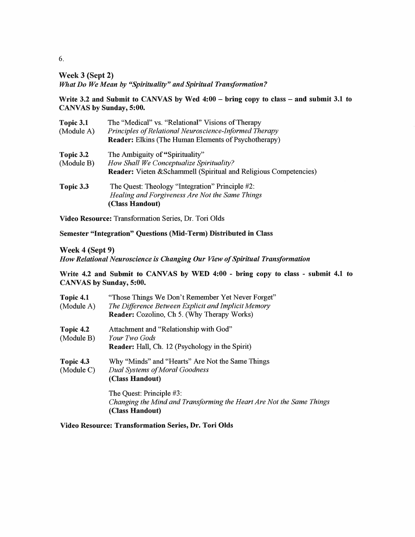Week 3 (Sept 2)

What Do We Mean by "Spirituality" and Spiritual Transformation?

Write 3.2 and Submit to CANVAS by Wed 4:00 - bring copy to class - and submit 3.1 to CANVAS by Sunday, 5:00.

| Topic 3.1<br>(Module A) | The "Medical" vs. "Relational" Visions of Therapy<br>Principles of Relational Neuroscience-Informed Therapy<br><b>Reader:</b> Elkins (The Human Elements of Psychotherapy) |
|-------------------------|----------------------------------------------------------------------------------------------------------------------------------------------------------------------------|
| Topic 3.2<br>(Module B) | The Ambiguity of "Spirituality"<br>How Shall We Conceptualize Spirituality?<br>Reader: Vieten & Schammell (Spiritual and Religious Competencies)                           |
| Topic 3.3               | The Quest: Theology "Integration" Principle #2:<br>Healing and Forgiveness Are Not the Same Things<br>(Class Handout)                                                      |

Video Resource: Transformation Series, Dr. Tori Olds

Semester "Integration" Questions (Mid-Term) Distributed in Class

Week 4 (Sept 9)

How Relational Neuroscience is Changing Our View of Spiritual Transformation

Write 4.2 and Submit to CANVAS by WED 4:00 - bring copy to class - submit 4.1 to CANVAS by Sunday, 5:00.

| Topic 4.1<br>(Module A) | "Those Things We Don't Remember Yet Never Forget"<br>The Difference Between Explicit and Implicit Memory<br><b>Reader:</b> Cozolino, Ch 5. (Why Therapy Works) |
|-------------------------|----------------------------------------------------------------------------------------------------------------------------------------------------------------|
| Topic 4.2<br>(Module B) | Attachment and "Relationship with God"<br><i>Your Two Gods</i><br><b>Reader:</b> Hall, Ch. 12 (Psychology in the Spirit)                                       |
| Topic 4.3<br>(Module C) | Why "Minds" and "Hearts" Are Not the Same Things<br>Dual Systems of Moral Goodness<br>(Class Handout)                                                          |
|                         | The Quest: Principle #3:<br>Changing the Mind and Transforming the Heart Are Not the Same Things<br>(Class Handout)                                            |

Video Resource: Transformation Series, Dr. Tori Olds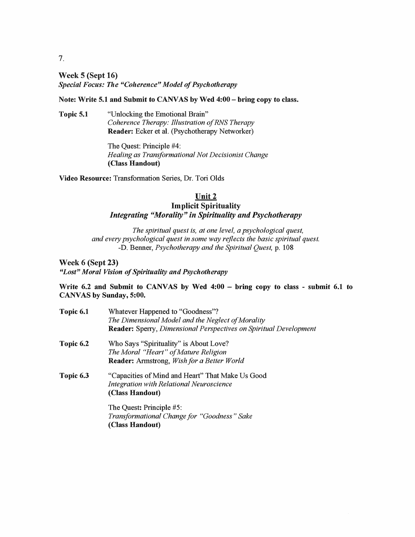**Week 5 (Sept 16)** Special Focus: The "Coherence" Model of Psychotherapy

Note: Write 5.1 and Submit to CANVAS by Wed 4:00 - bring copy to class.

"Unlocking the Emotional Brain" Topic 5.1 Coherence Therapy: Illustration of RNS Therapy Reader: Ecker et al. (Psychotherapy Networker)

> The Quest: Principle #4: Healing as Transformational Not Decisionist Change (Class Handout)

Video Resource: Transformation Series, Dr. Tori Olds

## Unit 2 **Implicit Spirituality Integrating "Morality" in Spirituality and Psychotherapy**

The spiritual quest is, at one level, a psychological quest, and every psychological quest in some way reflects the basic spiritual quest. -D. Benner, Psychotherapy and the Spiritual Quest, p. 108

Week 6 (Sept 23) "Lost" Moral Vision of Spirituality and Psychotherapy

Write 6.2 and Submit to CANVAS by Wed 4:00 – bring copy to class - submit 6.1 to CANVAS by Sunday, 5:00.

| Topic 6.1 | Whatever Happened to "Goodness"?<br>The Dimensional Model and the Neglect of Morality<br>Reader: Sperry, Dimensional Perspectives on Spiritual Development |
|-----------|------------------------------------------------------------------------------------------------------------------------------------------------------------|
| Topic 6.2 | Who Says "Spirituality" is About Love?                                                                                                                     |
|           | The Moral "Heart" of Mature Religion                                                                                                                       |
|           | <b>Reader:</b> Armstrong, <i>Wish for a Better World</i>                                                                                                   |
| Topic 6.3 | "Capacities of Mind and Heart" That Make Us Good                                                                                                           |
|           | <b>Integration with Relational Neuroscience</b>                                                                                                            |
|           | (Class Handout)                                                                                                                                            |
|           | The Quest: Principle #5:                                                                                                                                   |
|           | Transformational Change for "Goodness" Sake                                                                                                                |

(Class Handout)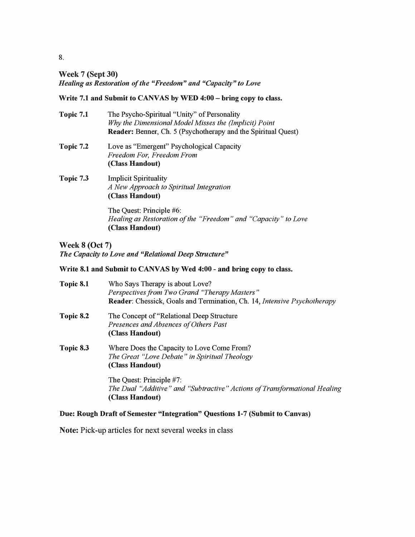# **Week 7 (Sept 30)** Healing as Restoration of the "Freedom" and "Capacity" to Love

### Write 7.1 and Submit to CANVAS by WED 4:00 - bring copy to class.

| Topic 7.1 | The Psycho-Spiritual "Unity" of Personality<br>Why the Dimensional Model Misses the (Implicit) Point<br><b>Reader:</b> Benner, Ch. 5 (Psychotherapy and the Spiritual Quest) |
|-----------|------------------------------------------------------------------------------------------------------------------------------------------------------------------------------|
| Topic 7.2 | Love as "Emergent" Psychological Capacity<br>Freedom For, Freedom From<br>(Class Handout)                                                                                    |
| Topic 7.3 | <b>Implicit Spirituality</b><br>A New Approach to Spiritual Integration<br>(Class Handout)                                                                                   |
|           | The Quest: Principle #6:<br>Healing as Restoration of the "Freedom" and "Capacity" to Love<br>(Class Handout)                                                                |

# **Week 8 (Oct 7)** The Capacity to Love and "Relational Deep Structure"

## Write 8.1 and Submit to CANVAS by Wed 4:00 - and bring copy to class.

| Topic 8.1 | Who Says Therapy is about Love?<br>Perspectives from Two Grand "Therapy Masters"<br><b>Reader:</b> Chessick, Goals and Termination, Ch. 14, <i>Intensive Psychotherapy</i> |
|-----------|----------------------------------------------------------------------------------------------------------------------------------------------------------------------------|
| Topic 8.2 | The Concept of "Relational Deep Structure"<br>Presences and Absences of Others Past<br>(Class Handout)                                                                     |
| Topic 8.3 | Where Does the Capacity to Love Come From?<br>The Great "Love Debate" in Spiritual Theology<br>(Class Handout)                                                             |
|           | The Quest: Principle #7:<br>The Dual "Additive" and "Subtractive" Actions of Transformational Healing<br>(Class Handout)                                                   |

# Due: Rough Draft of Semester "Integration" Questions 1-7 (Submit to Canvas)

Note: Pick-up articles for next several weeks in class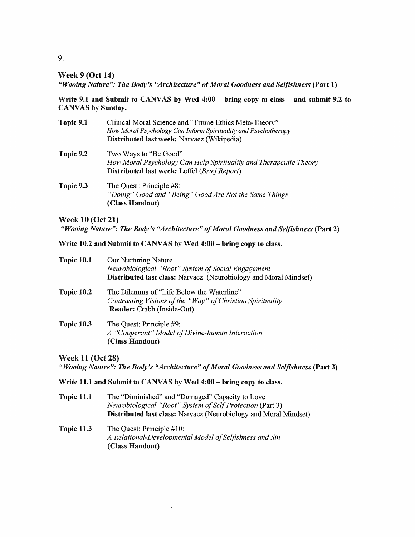#### **Week 9 (Oct 14)**

"Wooing Nature": The Body's "Architecture" of Moral Goodness and Selfishness (Part 1)

Write 9.1 and Submit to CANVAS by Wed 4:00 – bring copy to class – and submit 9.2 to **CANVAS** by Sunday.

| Topic 9.1 | Clinical Moral Science and "Triune Ethics Meta-Theory"                                                       |
|-----------|--------------------------------------------------------------------------------------------------------------|
|           | How Moral Psychology Can Inform Spirituality and Psychotherapy<br>Distributed last week: Narvaez (Wikipedia) |
| Topic 9.2 | Two Ways to "Be Good"                                                                                        |
|           | How Moral Psychology Can Help Spirituality and Therapeutic Theory                                            |
|           | Distributed last week: Leffel (Brief Report)                                                                 |
| Topic 9.3 | The Quest: Principle #8:                                                                                     |
|           | "Doing" Good and "Being" Good Are Not the Same Things                                                        |
|           | (Class Handout)                                                                                              |

**Week 10 (Oct 21)** 

"Wooing Nature": The Body's "Architecture" of Moral Goodness and Selfishness (Part 2)

#### Write 10.2 and Submit to CANVAS by Wed 4:00 - bring copy to class.

| <b>Topic 10.1</b> | Our Nurturing Nature<br>Neurobiological "Root" System of Social Engagement<br><b>Distributed last class:</b> Narvaez (Neurobiology and Moral Mindset) |
|-------------------|-------------------------------------------------------------------------------------------------------------------------------------------------------|
| <b>Topic 10.2</b> | The Dilemma of "Life Below the Waterline"<br>Contrasting Visions of the "Way" of Christian Spirituality<br><b>Reader:</b> Crabb (Inside-Out)          |
| <b>Topic 10.3</b> | The Quest: Principle #9:<br>A "Cooperant" Model of Divine-human Interaction<br>(Class Handout)                                                        |

**Week 11 (Oct 28)** "Wooing Nature": The Body's "Architecture" of Moral Goodness and Selfishness (Part 3)

#### Write 11.1 and Submit to CANVAS by Wed 4:00 - bring copy to class.

- **Topic 11.1** The "Diminished" and "Damaged" Capacity to Love Neurobiological "Root" System of Self-Protection (Part 3) Distributed last class: Narvaez (Neurobiology and Moral Mindset)
- **Topic 11.3** The Quest: Principle #10: A Relational-Developmental Model of Selfishness and Sin (Class Handout)